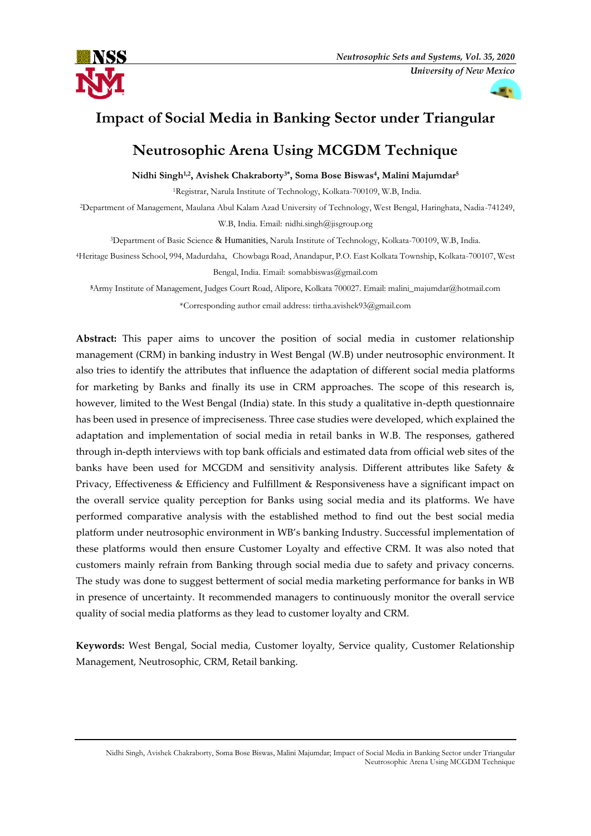



# **Impact of Social Media in Banking Sector under Triangular**

# **Neutrosophic Arena Using MCGDM Technique**

# **Nidhi Singh1,2, Avishek Chakraborty3\* , Soma Bose Biswas<sup>4</sup> , Malini Majumdar<sup>5</sup>**

<sup>1</sup>Registrar, Narula Institute of Technology, Kolkata-700109, W.B, India.

<sup>2</sup>Department of Management, Maulana Abul Kalam Azad University of Technology, West Bengal, Haringhata, Nadia-741249,

W.B, India. Email: nidhi.singh@jisgroup.org

<sup>3</sup>Department of Basic Science & Humanities, Narula Institute of Technology, Kolkata-700109, W.B, India.

<sup>4</sup>Heritage Business School, 994, Madurdaha, Chowbaga Road, Anandapur, P.O. East Kolkata Township, Kolkata-700107, West Bengal, India. Email: somabbiswas@gmail.com

**<sup>5</sup>**Army Institute of Management, Judges Court Road, Alipore, Kolkata 700027. Email: [malini\\_majumdar@hotmail.com](mailto:malini_majumdar@hotmail.com) \*Corresponding author email address: tirtha.avishek93@gmail.com

**Abstract:** This paper aims to uncover the position of social media in customer relationship management (CRM) in banking industry in West Bengal (W.B) under neutrosophic environment. It also tries to identify the attributes that influence the adaptation of different social media platforms for marketing by Banks and finally its use in CRM approaches. The scope of this research is, however, limited to the West Bengal (India) state. In this study a qualitative in-depth questionnaire has been used in presence of impreciseness. Three case studies were developed, which explained the adaptation and implementation of social media in retail banks in W.B. The responses, gathered through in-depth interviews with top bank officials and estimated data from official web sites of the banks have been used for MCGDM and sensitivity analysis. Different attributes like Safety & Privacy, Effectiveness & Efficiency and Fulfillment & Responsiveness have a significant impact on the overall service quality perception for Banks using social media and its platforms. We have performed comparative analysis with the established method to find out the best social media platform under neutrosophic environment in WB's banking Industry. Successful implementation of these platforms would then ensure Customer Loyalty and effective CRM. It was also noted that customers mainly refrain from Banking through social media due to safety and privacy concerns. The study was done to suggest betterment of social media marketing performance for banks in WB in presence of uncertainty. It recommended managers to continuously monitor the overall service quality of social media platforms as they lead to customer loyalty and CRM.

**Keywords:** West Bengal, Social media, Customer loyalty, Service quality, Customer Relationship Management, Neutrosophic, CRM, Retail banking.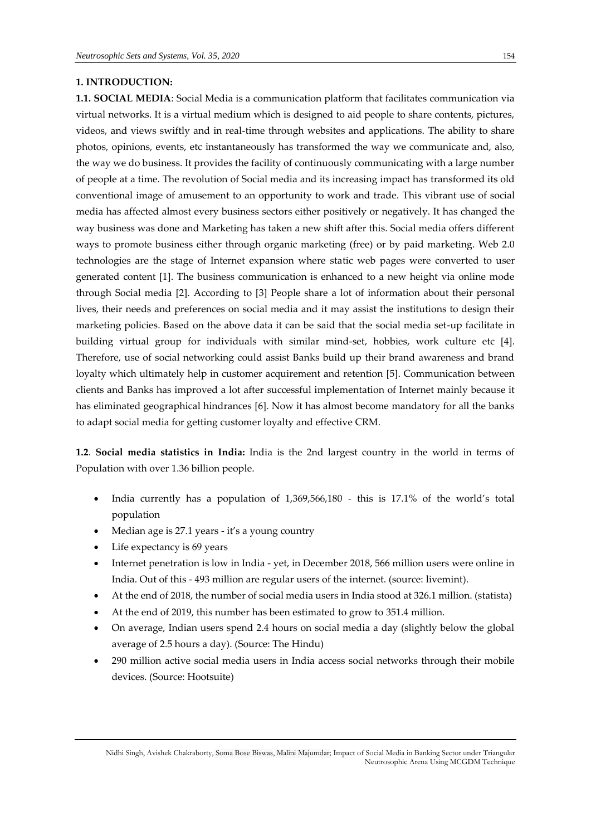# **1. INTRODUCTION:**

**1.1. SOCIAL MEDIA**: Social Media is a communication platform that facilitates communication via virtual networks. It is a virtual medium which is designed to aid people to share contents, pictures, videos, and views swiftly and in real-time through websites and applications. The ability to share photos, opinions, events, etc instantaneously has transformed the way we communicate and, also, the way we do business. It provides the facility of continuously communicating with a large number of people at a time. The revolution of Social media and its increasing impact has transformed its old conventional image of amusement to an opportunity to work and trade. This vibrant use of social media has affected almost every business sectors either positively or negatively. It has changed the way business was done and Marketing has taken a new shift after this. Social media offers different ways to promote business either through organic marketing (free) or by paid marketing. Web 2.0 technologies are the stage of Internet expansion where static web pages were converted to user generated content [1]. The business communication is enhanced to a new height via online mode through Social media [2]. According to [3] People share a lot of information about their personal lives, their needs and preferences on social media and it may assist the institutions to design their marketing policies. Based on the above data it can be said that the social media set-up facilitate in building virtual group for individuals with similar mind-set, hobbies, work culture etc [4]. Therefore, use of social networking could assist Banks build up their brand awareness and brand loyalty which ultimately help in customer acquirement and retention [5]. Communication between clients and Banks has improved a lot after successful implementation of Internet mainly because it has eliminated geographical hindrances [6]. Now it has almost become mandatory for all the banks to adapt social media for getting customer loyalty and effective CRM.

**1.2**. **Social media statistics in India:** India is the 2nd largest country in the world in terms of Population with over 1.36 billion people.

- India currently has a population of 1,369,566,180 this is 17.1% of the world's total population
- Median age is 27.1 years it's a young country
- Life expectancy is 69 years
- Internet penetration is low in India yet, in December 2018, 566 million users were online in India. Out of this - 493 million are regular users of the internet. (source: [livemint\)](https://www.livemint.com/industry/telecom/internet-users-exceed-500-million-rural-india-driving-growth-report-1552300847307.html).
- At the end of 2018, the number of social media users in India stood at 326.1 million. (statista)
- At the end of 2019, this number has been estimated to grow to 351.4 million.
- On average, Indian users spend 2.4 hours on social media a day (slightly below the global average of 2.5 hours a day). (Source: The Hindu)
- 290 million active social media users in India access social networks through their mobile devices. (Source: Hootsuite)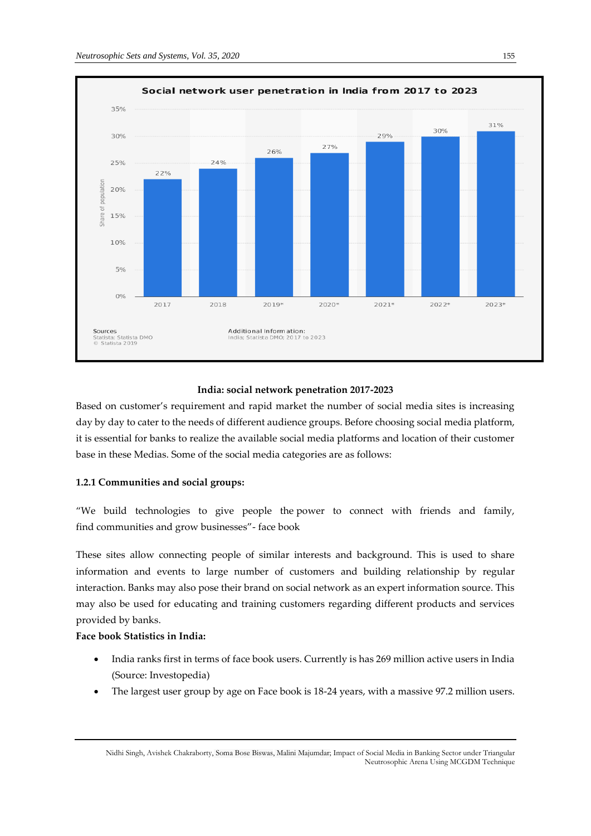

# **India: social network penetration 2017-2023**

Based on customer's requirement and rapid market the number of social media sites is increasing day by day to cater to the needs of different audience groups. Before choosing social media platform, it is essential for banks to realize the available social media platforms and location of their customer base in these Medias. Some of the social media categories are as follows:

# **1.2.1 Communities and social groups:**

"We build technologies to give people the power to connect with friends and family, find communities and grow businesses"- face book

These sites allow connecting people of similar interests and background. This is used to share information and events to large number of customers and building relationship by regular interaction. Banks may also pose their brand on social network as an expert information source. This may also be used for educating and training customers regarding different products and services provided by banks.

# **Face book Statistics in India:**

- India ranks first in terms of face book users. Currently is has 269 million active users in India (Source: Investopedia)
- The largest user group by age on Face book is 18-24 years, with a massive 97.2 million users.

Nidhi Singh, Avishek Chakraborty, Soma Bose Biswas, Malini Majumdar; Impact of Social Media in Banking Sector under Triangular Neutrosophic Arena Using MCGDM Technique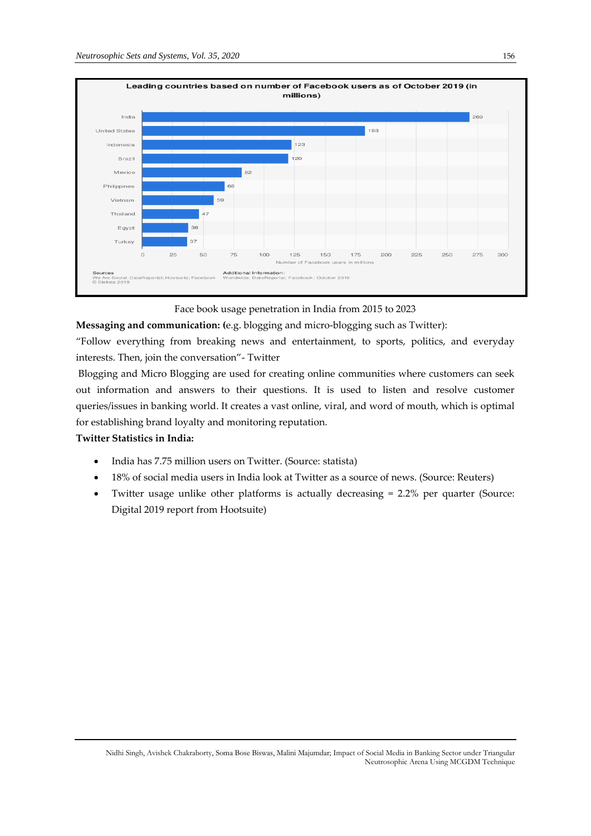

Face book usage penetration in India from 2015 to 2023

**Messaging and communication: (**e.g. blogging and micro-blogging such as Twitter):

"Follow everything from breaking news and entertainment, to sports, politics, and everyday interests. Then, join the conversation"- Twitter

Blogging and Micro Blogging are used for creating online communities where customers can seek out information and answers to their questions. It is used to listen and resolve customer queries/issues in banking world. It creates a vast online, viral, and word of mouth, which is optimal for establishing brand loyalty and monitoring reputation.

# **Twitter Statistics in India:**

- India has 7.75 million users on Twitter. (Source: [statista\)](https://www.statista.com/statistics/242606/number-of-active-twitter-users-in-selected-countries/)
- 18% of social media users in India look at Twitter as a source of news. (Source: Reuters)
- Twitter usage unlike other platforms is actually decreasing = 2.2% per quarter (Source: Digital 2019 report from Hootsuite)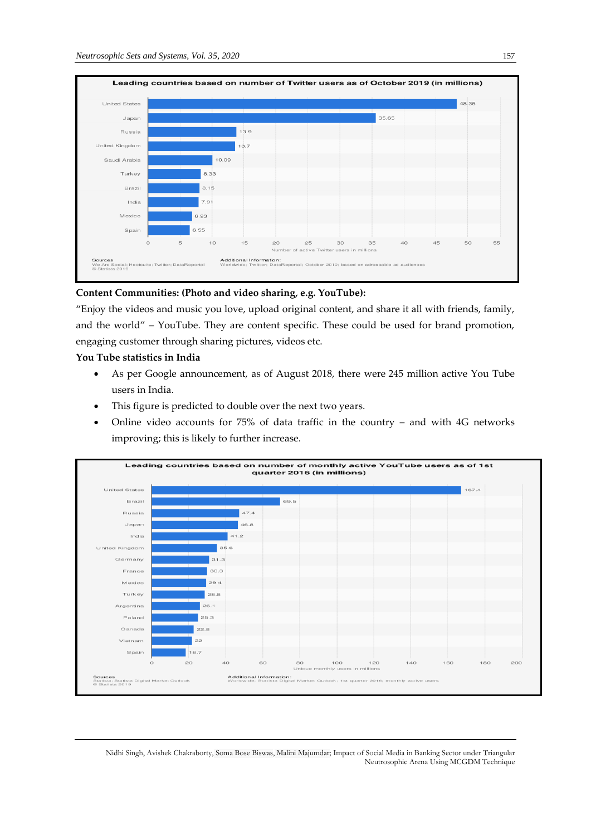

# **Content Communities: (Photo and video sharing, e.g. YouTube):**

"Enjoy the videos and music you love, upload original content, and share it all with friends, family, and the world" – YouTube. They are content specific. These could be used for brand promotion, engaging customer through sharing pictures, videos etc.

# **You Tube statistics in India**

- As per Google announcement, as of August 2018, there were [245 million active You Tube](https://www.androidcentral.com/youtube-has-245-million-monthly-active-users-india)  [users in India.](https://www.androidcentral.com/youtube-has-245-million-monthly-active-users-india)
- This figure is predicted to double over the next two years.
- Online video accounts for 75% of data traffic in the country and with 4G networks improving; this is likely to further increase.

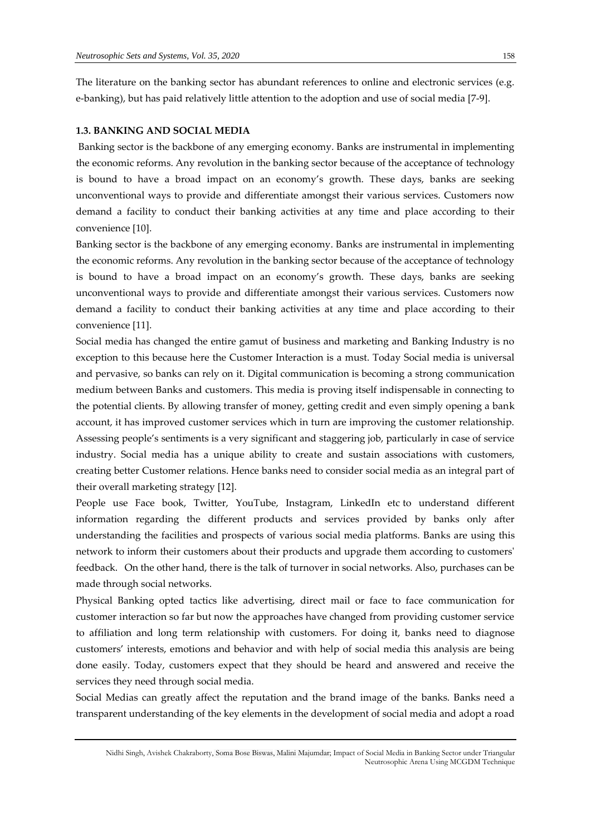The literature on the banking sector has abundant references to online and electronic services (e.g. e-banking), but has paid relatively little attention to the adoption and use of social media [7-9].

#### **1.3. BANKING AND SOCIAL MEDIA**

Banking sector is the backbone of any emerging economy. Banks are instrumental in implementing the economic reforms. Any revolution in the banking sector because of the acceptance of technology is bound to have a broad impact on an economy's growth. These days, banks are seeking unconventional ways to provide and differentiate amongst their various services. Customers now demand a facility to conduct their banking activities at any time and place according to their convenience [10].

Banking sector is the backbone of any emerging economy. Banks are instrumental in implementing the economic reforms. Any revolution in the banking sector because of the acceptance of technology is bound to have a broad impact on an economy's growth. These days, banks are seeking unconventional ways to provide and differentiate amongst their various services. Customers now demand a facility to conduct their banking activities at any time and place according to their convenience [11].

Social media has changed the entire gamut of business and marketing and Banking Industry is no exception to this because here the Customer Interaction is a must. Today Social media is universal and pervasive, so banks can rely on it. Digital communication is becoming a strong communication medium between Banks and customers. This media is proving itself indispensable in connecting to the potential clients. By allowing transfer of money, getting credit and even simply opening a bank account, it has improved customer services which in turn are improving the customer relationship. Assessing people's sentiments is a very significant and staggering job, particularly in case of service industry. Social media has a unique ability to create and sustain associations with customers, creating better Customer relations. Hence banks need to consider social media as an integral part of their overall marketing strategy [12].

People use Face book, Twitter, YouTube, Instagram, LinkedIn etc to understand different information regarding the different products and services provided by banks only after understanding the facilities and prospects of various social media platforms. Banks are using this network to inform their customers about their products and upgrade them according to customers' feedback. On the other hand, there is the talk of turnover in social networks. Also, purchases can be made through social networks.

Physical Banking opted tactics like advertising, direct mail or face to face communication for customer interaction so far but now the approaches have changed from providing customer service to affiliation and long term relationship with customers. For doing it, banks need to diagnose customers' interests, emotions and behavior and with help of social media this analysis are being done easily. Today, customers expect that they should be heard and answered and receive the services they need through social media.

Social Medias can greatly affect the reputation and the brand image of the banks. Banks need a transparent understanding of the key elements in the development of social media and adopt a road

Nidhi Singh, Avishek Chakraborty, Soma Bose Biswas, Malini Majumdar; Impact of Social Media in Banking Sector under Triangular Neutrosophic Arena Using MCGDM Technique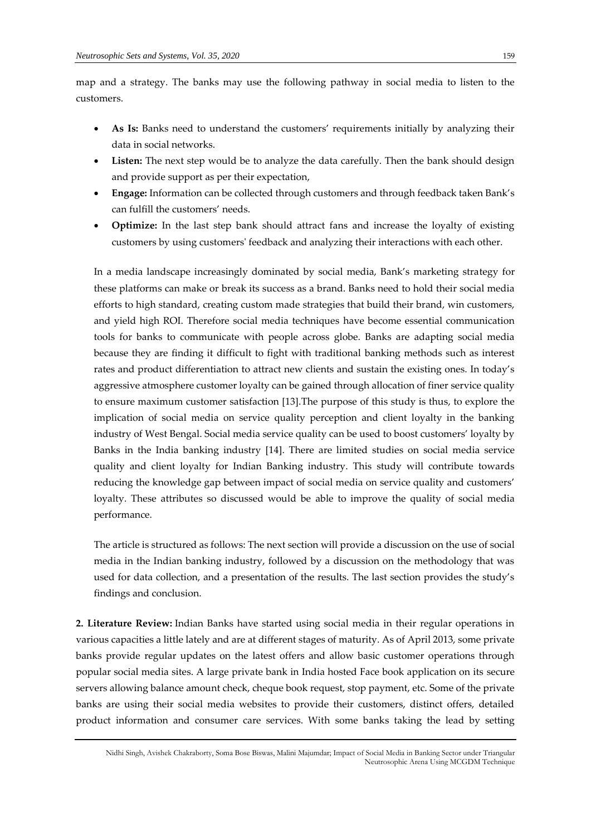map and a strategy. The banks may use the following pathway in social media to listen to the customers.

- As Is: Banks need to understand the customers' requirements initially by analyzing their data in social networks.
- Listen: The next step would be to analyze the data carefully. Then the bank should design and provide support as per their expectation,
- **Engage:** Information can be collected through customers and through feedback taken Bank's can fulfill the customers' needs.
- **Optimize:** In the last step bank should attract fans and increase the loyalty of existing customers by using customers' feedback and analyzing their interactions with each other.

In a media landscape increasingly dominated by social media, Bank's marketing strategy for these platforms can make or break its success as a brand. Banks need to hold their social media efforts to high standard, creating custom made strategies that build their brand, win customers, and yield high ROI. Therefore social media techniques have become essential communication tools for banks to communicate with people across globe. Banks are adapting social media because they are finding it difficult to fight with traditional banking methods such as interest rates and product differentiation to attract new clients and sustain the existing ones. In today's aggressive atmosphere customer loyalty can be gained through allocation of finer service quality to ensure maximum customer satisfaction [13].The purpose of this study is thus, to explore the implication of social media on service quality perception and client loyalty in the banking industry of West Bengal. Social media service quality can be used to boost customers' loyalty by Banks in the India banking industry [14]. There are limited studies on social media service quality and client loyalty for Indian Banking industry. This study will contribute towards reducing the knowledge gap between impact of social media on service quality and customers' loyalty. These attributes so discussed would be able to improve the quality of social media performance.

The article is structured as follows: The next section will provide a discussion on the use of social media in the Indian banking industry, followed by a discussion on the methodology that was used for data collection, and a presentation of the results. The last section provides the study's findings and conclusion.

**2. Literature Review:** Indian Banks have started using social media in their regular operations in various capacities a little lately and are at different stages of maturity. As of April 2013, some private banks provide regular updates on the latest offers and allow basic customer operations through popular social media sites. A large private bank in India hosted Face book application on its secure servers allowing balance amount check, cheque book request, stop payment, etc. Some of the private banks are using their social media websites to provide their customers, distinct offers, detailed product information and consumer care services. With some banks taking the lead by setting

Nidhi Singh, Avishek Chakraborty, Soma Bose Biswas, Malini Majumdar; Impact of Social Media in Banking Sector under Triangular Neutrosophic Arena Using MCGDM Technique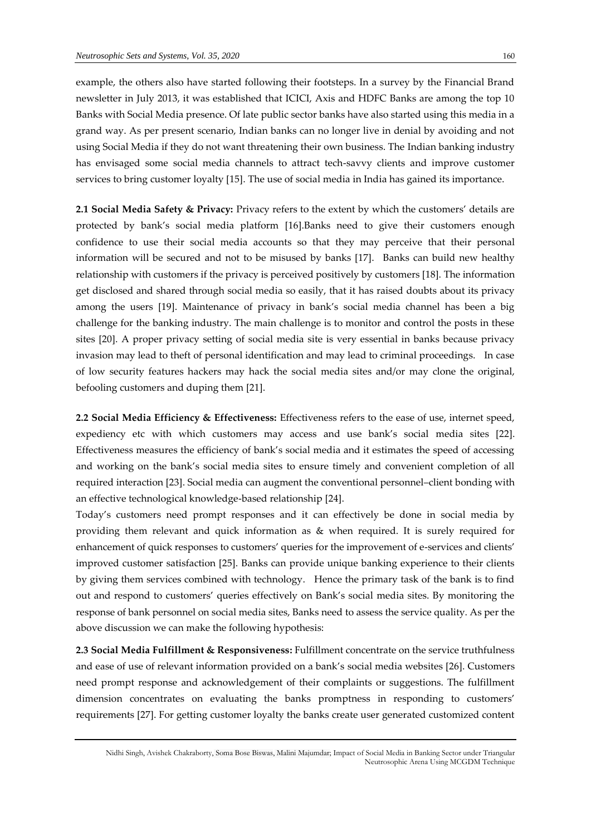example, the others also have started following their footsteps. In a survey by the Financial Brand newsletter in July 2013, it was established that ICICI, Axis and HDFC Banks are among the top 10 Banks with Social Media presence. Of late public sector banks have also started using this media in a grand way. As per present scenario, Indian banks can no longer live in denial by avoiding and not using Social Media if they do not want threatening their own business. The Indian banking industry has envisaged some social media channels to attract tech-savvy clients and improve customer services to bring customer loyalty [15]. The use of social media in India has gained its importance.

**2.1 Social Media Safety & Privacy:** Privacy refers to the extent by which the customers' details are protected by bank's social media platform [16].Banks need to give their customers enough confidence to use their social media accounts so that they may perceive that their personal information will be secured and not to be misused by banks [17]. Banks can build new healthy relationship with customers if the privacy is perceived positively by customers [18]. The information get disclosed and shared through social media so easily, that it has raised doubts about its privacy among the users [19]. Maintenance of privacy in bank's social media channel has been a big challenge for the banking industry. The main challenge is to monitor and control the posts in these sites [20]. A proper privacy setting of social media site is very essential in banks because privacy invasion may lead to theft of personal identification and may lead to criminal proceedings. In case of low security features hackers may hack the social media sites and/or may clone the original, befooling customers and duping them [21].

**2.2 Social Media Efficiency & Effectiveness:** Effectiveness refers to the ease of use, internet speed, expediency etc with which customers may access and use bank's social media sites [22]. Effectiveness measures the efficiency of bank's social media and it estimates the speed of accessing and working on the bank's social media sites to ensure timely and convenient completion of all required interaction [23]. Social media can augment the conventional personnel–client bonding with an effective technological knowledge-based relationship [24].

Today's customers need prompt responses and it can effectively be done in social media by providing them relevant and quick information as & when required. It is surely required for enhancement of quick responses to customers' queries for the improvement of e-services and clients' improved customer satisfaction [25]. Banks can provide unique banking experience to their clients by giving them services combined with technology. Hence the primary task of the bank is to find out and respond to customers' queries effectively on Bank's social media sites. By monitoring the response of bank personnel on social media sites, Banks need to assess the service quality. As per the above discussion we can make the following hypothesis:

**2.3 Social Media Fulfillment & Responsiveness:** Fulfillment concentrate on the service truthfulness and ease of use of relevant information provided on a bank's social media websites [26]. Customers need prompt response and acknowledgement of their complaints or suggestions. The fulfillment dimension concentrates on evaluating the banks promptness in responding to customers' requirements [27]. For getting customer loyalty the banks create user generated customized content

Nidhi Singh, Avishek Chakraborty, Soma Bose Biswas, Malini Majumdar; Impact of Social Media in Banking Sector under Triangular Neutrosophic Arena Using MCGDM Technique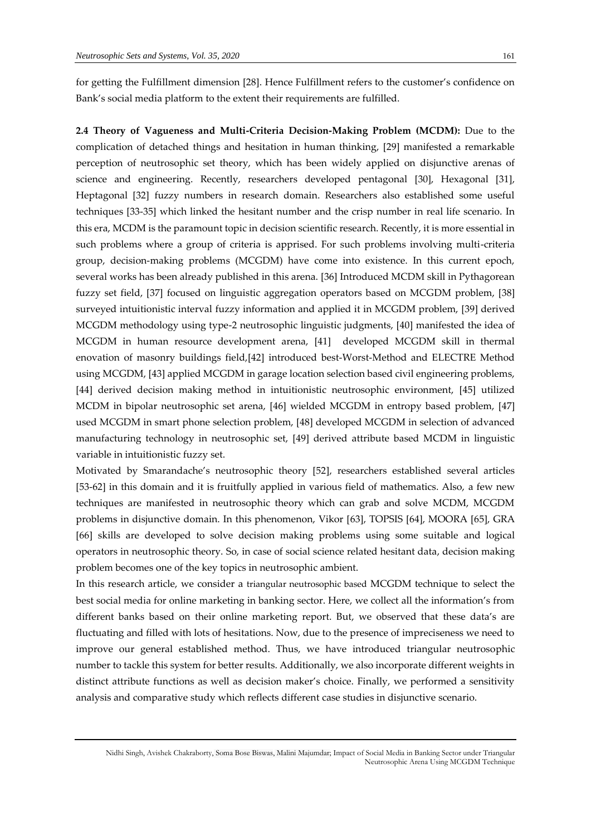for getting the Fulfillment dimension [28]. Hence Fulfillment refers to the customer's confidence on Bank's social media platform to the extent their requirements are fulfilled.

**2.4 Theory of Vagueness and Multi-Criteria Decision-Making Problem (MCDM):** Due to the complication of detached things and hesitation in human thinking, [29] manifested a remarkable perception of neutrosophic set theory, which has been widely applied on disjunctive arenas of science and engineering. Recently, researchers developed pentagonal [30], Hexagonal [31], Heptagonal [32] fuzzy numbers in research domain. Researchers also established some useful techniques [33-35] which linked the hesitant number and the crisp number in real life scenario. In this era, MCDM is the paramount topic in decision scientific research. Recently, it is more essential in such problems where a group of criteria is apprised. For such problems involving multi-criteria group, decision-making problems (MCGDM) have come into existence. In this current epoch, several works has been already published in this arena. [36] Introduced MCDM skill in Pythagorean fuzzy set field, [37] focused on linguistic aggregation operators based on MCGDM problem, [38] surveyed intuitionistic interval fuzzy information and applied it in MCGDM problem, [39] derived MCGDM methodology using type-2 neutrosophic linguistic judgments, [40] manifested the idea of MCGDM in human resource development arena, [41] developed MCGDM skill in thermal enovation of masonry buildings field,[42] introduced best-Worst-Method and ELECTRE Method using MCGDM, [43] applied MCGDM in garage location selection based civil engineering problems, [44] derived decision making method in intuitionistic neutrosophic environment, [45] utilized MCDM in bipolar neutrosophic set arena, [46] wielded MCGDM in entropy based problem, [47] used MCGDM in smart phone selection problem, [48] developed MCGDM in selection of advanced manufacturing technology in neutrosophic set, [49] derived attribute based MCDM in linguistic variable in intuitionistic fuzzy set.

Motivated by Smarandache's neutrosophic theory [52], researchers established several articles [53-62] in this domain and it is fruitfully applied in various field of mathematics. Also, a few new techniques are manifested in neutrosophic theory which can grab and solve MCDM, MCGDM problems in disjunctive domain. In this phenomenon, Vikor [63], TOPSIS [64], MOORA [65], GRA [66] skills are developed to solve decision making problems using some suitable and logical operators in neutrosophic theory. So, in case of social science related hesitant data, decision making problem becomes one of the key topics in neutrosophic ambient.

In this research article, we consider a triangular neutrosophic based MCGDM technique to select the best social media for online marketing in banking sector. Here, we collect all the information's from different banks based on their online marketing report. But, we observed that these data's are fluctuating and filled with lots of hesitations. Now, due to the presence of impreciseness we need to improve our general established method. Thus, we have introduced triangular neutrosophic number to tackle this system for better results. Additionally, we also incorporate different weights in distinct attribute functions as well as decision maker's choice. Finally, we performed a sensitivity analysis and comparative study which reflects different case studies in disjunctive scenario.

Nidhi Singh, Avishek Chakraborty, Soma Bose Biswas, Malini Majumdar; Impact of Social Media in Banking Sector under Triangular Neutrosophic Arena Using MCGDM Technique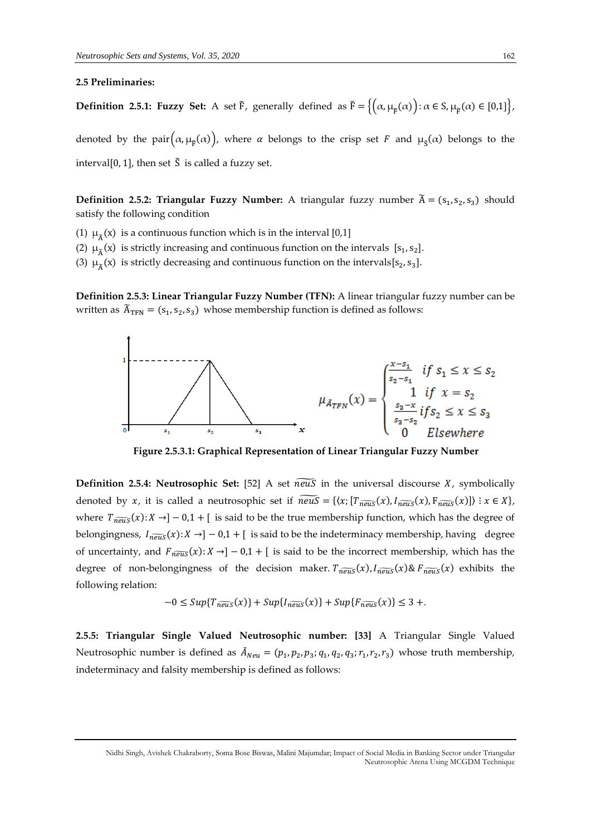### **2.5 Preliminaries:**

**Definition 2.5.1: Fuzzy Set:** A set  $\tilde{F}$ , generally defined as  $\tilde{F} = \left\{ \left( \alpha, \mu_{\tilde{F}}(\alpha) \right) : \alpha \in S, \mu_{\tilde{F}}(\alpha) \in [0,1] \right\},\$ 

denoted by the pair $(\alpha, \mu_{\tilde{F}}(\alpha))$ , where  $\alpha$  belongs to the crisp set  $F$  and  $\mu_{\tilde{S}}(\alpha)$  belongs to the interval[0, 1], then set  $\tilde{S}$  is called a fuzzy set.

**Definition 2.5.2: Triangular Fuzzy Number:** A triangular fuzzy number  $\widetilde{A} = (s_1, s_2, s_3)$  should satisfy the following condition

(1)  $\mu_{\widetilde{A}}(x)$  is a continuous function which is in the interval [0,1]

(2)  $\mu_{\widetilde{A}}(x)$  is strictly increasing and continuous function on the intervals [ $s_1, s_2$ ].

(3)  $\mu_{\widetilde{A}}(x)$  is strictly decreasing and continuous function on the intervals[s<sub>2</sub>, s<sub>3</sub>].

**Definition 2.5.3: Linear Triangular Fuzzy Number (TFN):** A linear triangular fuzzy number can be written as  $\widetilde{A}_{TFN} = (s_1, s_2, s_3)$  whose membership function is defined as follows:



**Figure 2.5.3.1: Graphical Representation of Linear Triangular Fuzzy Number**

**Definition 2.5.4: Neutrosophic Set:** [52] A set  $\overline{new}$  in the universal discourse X, symbolically denoted by x, it is called a neutrosophic set if  $\widetilde{neus} = \{ \langle x; [T_{\widetilde{neus}}(x), I_{\widetilde{neus}}(x), F_{\widetilde{neus}}(x)] \rangle : x \in X \},$ where  $T_{\widehat{new}}(x): X \rightarrow ]-0,1+[$  is said to be the true membership function, which has the degree of belongingness,  $I_{\overline{neus}}(x): X \rightarrow ]-0,1+$  [ is said to be the indeterminacy membership, having degree of uncertainty, and  $F_{\overline{neus}}(x): X \rightarrow ]-0,1+[$  is said to be the incorrect membership, which has the degree of non-belongingness of the decision maker.  $T_{\overline{new}}(x)$ ,  $I_{\overline{new}}(x)$ &  $F_{\overline{new}}(x)$  exhibits the following relation:

$$
-0 \leq Sup\{T_{\widetilde{neus}}(x)\} + Sup\{I_{\widetilde{neus}}(x)\} + Sup\{F_{\widetilde{neus}}(x)\} \leq 3 + .
$$

**2.5.5: Triangular Single Valued Neutrosophic number: [33]** A Triangular Single Valued Neutrosophic number is defined as  $\tilde{A}_{Neu} = (p_1, p_2, p_3; q_1, q_2, q_3; r_1, r_2, r_3)$  whose truth membership, indeterminacy and falsity membership is defined as follows: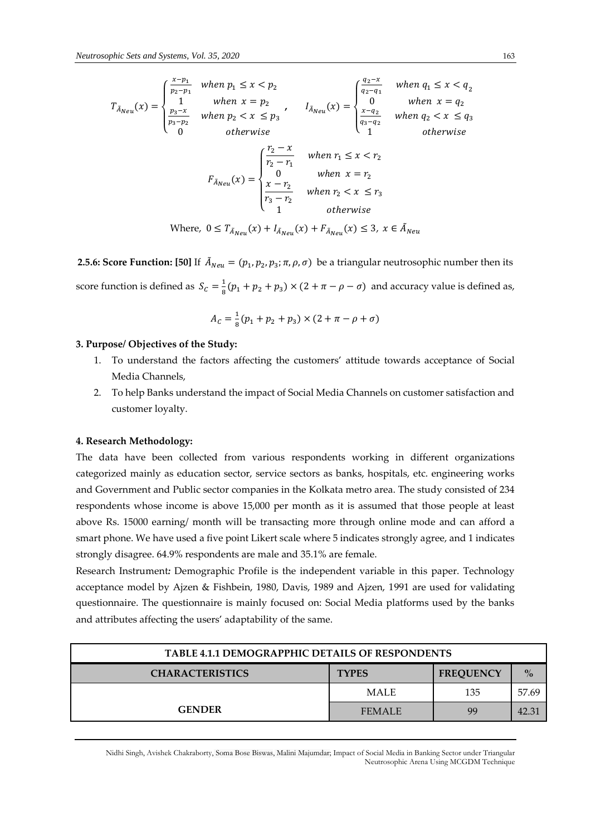$$
T_{\tilde{A}_{Neu}}(x) = \begin{cases} \frac{x - p_1}{p_2 - p_1} & when \ p_1 \le x < p_2 \\ 1 & when \ x = p_2 \\ \frac{p_3 - x}{p_3 - p_2} & when \ p_2 < x \le p_3 \end{cases}, \quad I_{\tilde{A}_{Neu}}(x) = \begin{cases} \frac{q_2 - x}{q_2 - q_1} & when \ q_1 \le x < q_2 \\ 0 & when \ x = q_2 \\ \frac{x - q_2}{q_3 - q_2} & when \ q_2 < x \le q_3 \end{cases}
$$
\n
$$
F_{\tilde{A}_{Neu}}(x) = \begin{cases} \frac{r_2 - x}{r_2 - r_1} & when \ r_1 \le x < r_2 \\ 0 & when \ x = r_2 \\ \frac{x - r_2}{r_3 - r_2} & when \ r_2 < x \le r_3 \\ 1 & otherwise \end{cases}
$$
\n
$$
W_{\text{here, 0}}(x) = T_{\tilde{A}_{Neu}}(x) + I_{\tilde{A}_{Neu}}(x) + F_{\tilde{A}_{Neu}}(x) \le 3, \ x \in \tilde{A}_{Neu}
$$

**2.5.6: Score Function:** [50] If  $\tilde{A}_{Neu} = (p_1, p_2, p_3; \pi, \rho, \sigma)$  be a triangular neutrosophic number then its score function is defined as  $S_c = \frac{1}{8}$  $\frac{1}{8}(p_1 + p_2 + p_3) \times (2 + \pi - \rho - \sigma)$  and accuracy value is defined as,

$$
A_C = \frac{1}{8}(p_1 + p_2 + p_3) \times (2 + \pi - \rho + \sigma)
$$

## **3. Purpose/ Objectives of the Study:**

- 1. To understand the factors affecting the customers' attitude towards acceptance of Social Media Channels,
- 2. To help Banks understand the impact of Social Media Channels on customer satisfaction and customer loyalty.

# **4. Research Methodology:**

The data have been collected from various respondents working in different organizations categorized mainly as education sector, service sectors as banks, hospitals, etc. engineering works and Government and Public sector companies in the Kolkata metro area. The study consisted of 234 respondents whose income is above 15,000 per month as it is assumed that those people at least above Rs. 15000 earning/ month will be transacting more through online mode and can afford a smart phone. We have used a five point Likert scale where 5 indicates strongly agree, and 1 indicates strongly disagree. 64.9% respondents are male and 35.1% are female.

Research Instrument*:* Demographic Profile is the independent variable in this paper. Technology acceptance model by Ajzen & Fishbein, 1980, Davis, 1989 and Ajzen, 1991 are used for validating questionnaire. The questionnaire is mainly focused on: Social Media platforms used by the banks and attributes affecting the users' adaptability of the same.

| <b>TABLE 4.1.1 DEMOGRAPPHIC DETAILS OF RESPONDENTS</b> |               |                  |               |
|--------------------------------------------------------|---------------|------------------|---------------|
| <b>CHARACTERISTICS</b>                                 | <b>TYPES</b>  | <b>FREQUENCY</b> | $\frac{0}{2}$ |
|                                                        | <b>MALE</b>   | 135              | 57.69         |
| <b>GENDER</b>                                          | <b>FEMALE</b> | 99               |               |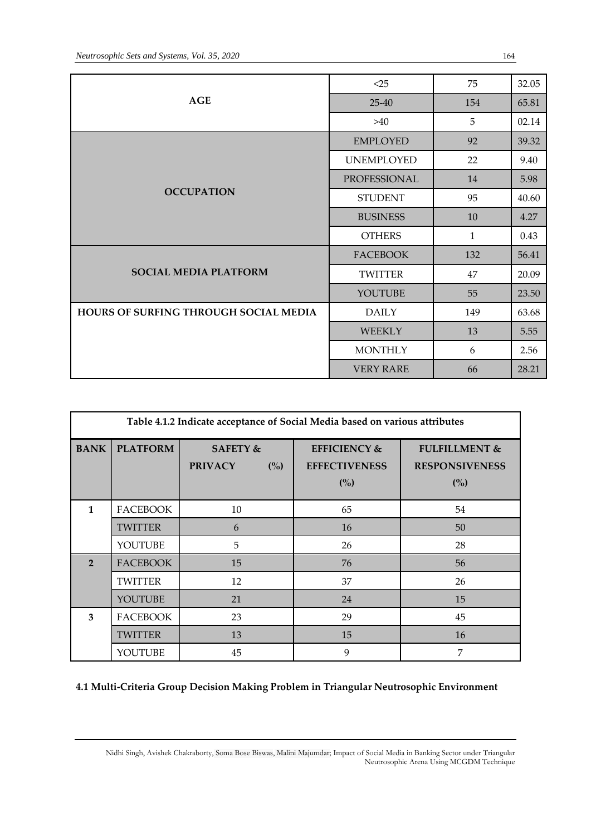|                                       | <25               | 75           | 32.05 |
|---------------------------------------|-------------------|--------------|-------|
| <b>AGE</b>                            | $25 - 40$         | 154          | 65.81 |
|                                       | >40               | 5            | 02.14 |
|                                       | <b>EMPLOYED</b>   | 92           | 39.32 |
|                                       | <b>UNEMPLOYED</b> | 22           | 9.40  |
|                                       | PROFESSIONAL      | 14           | 5.98  |
| <b>OCCUPATION</b>                     | <b>STUDENT</b>    | 95           | 40.60 |
|                                       | <b>BUSINESS</b>   | 10           | 4.27  |
|                                       | <b>OTHERS</b>     | $\mathbf{1}$ | 0.43  |
|                                       | <b>FACEBOOK</b>   | 132          | 56.41 |
| <b>SOCIAL MEDIA PLATFORM</b>          | <b>TWITTER</b>    | 47           | 20.09 |
|                                       | YOUTUBE           | 55           | 23.50 |
| HOURS OF SURFING THROUGH SOCIAL MEDIA | <b>DAILY</b>      | 149          | 63.68 |
|                                       | <b>WEEKLY</b>     | 13           | 5.55  |
|                                       | <b>MONTHLY</b>    | 6            | 2.56  |
|                                       | <b>VERY RARE</b>  | 66           | 28.21 |

| Table 4.1.2 Indicate acceptance of Social Media based on various attributes |                 |                                              |                                                        |                                                          |
|-----------------------------------------------------------------------------|-----------------|----------------------------------------------|--------------------------------------------------------|----------------------------------------------------------|
| <b>BANK</b>                                                                 | <b>PLATFORM</b> | <b>SAFETY &amp;</b><br><b>PRIVACY</b><br>(%) | <b>EFFICIENCY &amp;</b><br><b>EFFECTIVENESS</b><br>(%) | <b>FULFILLMENT &amp;</b><br><b>RESPONSIVENESS</b><br>(%) |
| $\mathbf{1}$                                                                | <b>FACEBOOK</b> | 10                                           | 65                                                     | 54                                                       |
|                                                                             | <b>TWITTER</b>  | 6                                            | 16                                                     | 50                                                       |
|                                                                             | YOUTUBE         | 5                                            | 26                                                     | 28                                                       |
| $\overline{2}$                                                              | <b>FACEBOOK</b> | 15                                           | 76                                                     | 56                                                       |
|                                                                             | TWITTER         | 12                                           | 37                                                     | 26                                                       |
|                                                                             | YOUTUBE         | 21                                           | 24                                                     | 15                                                       |
| 3                                                                           | <b>FACEBOOK</b> | 23                                           | 29                                                     | 45                                                       |
|                                                                             | <b>TWITTER</b>  | 13                                           | 15                                                     | 16                                                       |
|                                                                             | YOUTUBE         | 45                                           | 9                                                      | 7                                                        |

**4.1 Multi-Criteria Group Decision Making Problem in Triangular Neutrosophic Environment**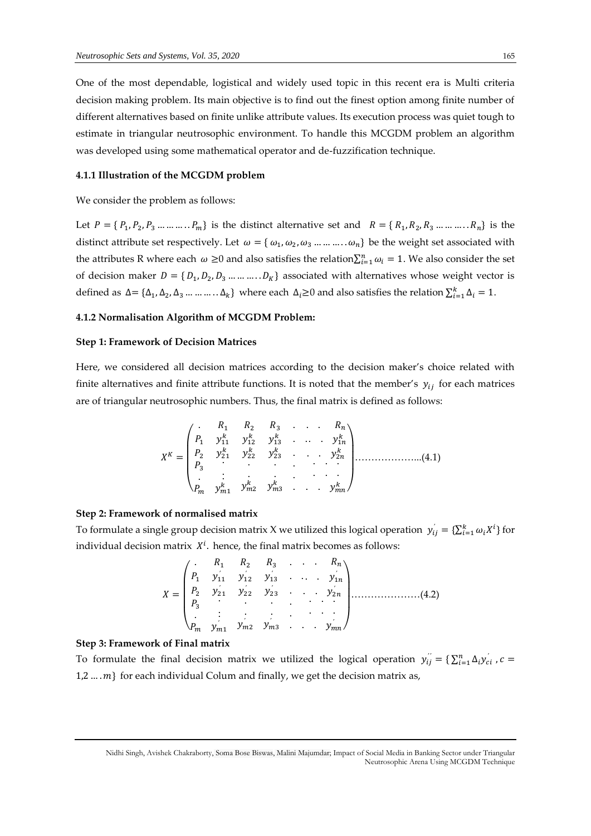One of the most dependable, logistical and widely used topic in this recent era is Multi criteria decision making problem. Its main objective is to find out the finest option among finite number of different alternatives based on finite unlike attribute values. Its execution process was quiet tough to estimate in triangular neutrosophic environment. To handle this MCGDM problem an algorithm was developed using some mathematical operator and de-fuzzification technique.

#### **4.1.1 Illustration of the MCGDM problem**

We consider the problem as follows:

Let  $P = \{P_1, P_2, P_3, \dots, P_m\}$  is the distinct alternative set and  $R = \{R_1, R_2, R_3, \dots, R_n\}$  is the distinct attribute set respectively. Let  $\omega = \{\omega_1, \omega_2, \omega_3 \dots \dots \dots \omega_n\}$  be the weight set associated with the attributes R where each  $\omega \ge 0$  and also satisfies the relation $\sum_{i=1}^n \omega_i = 1$ . We also consider the set of decision maker  $D = \{D_1, D_2, D_3, \dots, D_K\}$  associated with alternatives whose weight vector is defined as  $\Delta = {\Delta_1, \Delta_2, \Delta_3, ..., ..., \Delta_k}$  where each  $\Delta_i \ge 0$  and also satisfies the relation  $\sum_{i=1}^{k} \Delta_i = 1$ .

#### **4.1.2 Normalisation Algorithm of MCGDM Problem:**

#### **Step 1: Framework of Decision Matrices**

Here, we considered all decision matrices according to the decision maker's choice related with finite alternatives and finite attribute functions. It is noted that the member's  $y_{ij}$  for each matrices are of triangular neutrosophic numbers. Thus, the final matrix is defined as follows:

$$
X^{K} = \begin{pmatrix} . & R_1 & R_2 & R_3 & . & . & R_n \\ P_1 & y_{11}^k & y_{12}^k & y_{13}^k & . & . & y_{1n}^k \\ P_2 & y_{21}^k & y_{22}^k & y_{23}^k & . & . & y_{2n}^k \\ P_3 & . & . & . & . & . \\ . & . & . & . & . & . \\ . & . & . & . & . & . \\ P_m & y_{m1}^k & y_{m2}^k & y_{m3}^k & . & . & y_{mn}^k \end{pmatrix} \dots \dots \dots \dots \dots \dots \dots \dots \dots \dots \dots \dots \tag{4.1}
$$

#### **Step 2: Framework of normalised matrix**

To formulate a single group decision matrix X we utilized this logical operation  $y_{ij} = \{\sum_{i=1}^k \omega_i X^i\}$  for individual decision matrix  $X^i$ . hence, the final matrix becomes as follows:

$$
X = \begin{pmatrix} . & R_1 & R_2 & R_3 & . & . & R_n \\ P_1 & y_{11} & y_{12} & y_{13} & . & . & y_{1n} \\ P_2 & y_{21} & y_{22} & y_{23} & . & . & y_{2n} \\ P_3 & . & . & . & . & . \\ . & . & . & . & . & . \\ . & . & . & . & . & . \\ P_m & y_{m1} & y_{m2} & y_{m3} & . & . & y_{mn} \end{pmatrix} \tag{4.2}
$$

#### **Step 3: Framework of Final matrix**

To formulate the final decision matrix we utilized the logical operation  $y_{ij}^{''} = \sum_{i=1}^{n} \Delta_i y_{ci}^{'}$ ,  $c =$  $1,2 \ldots m$ } for each individual Colum and finally, we get the decision matrix as,

Nidhi Singh, Avishek Chakraborty, Soma Bose Biswas, Malini Majumdar; Impact of Social Media in Banking Sector under Triangular Neutrosophic Arena Using MCGDM Technique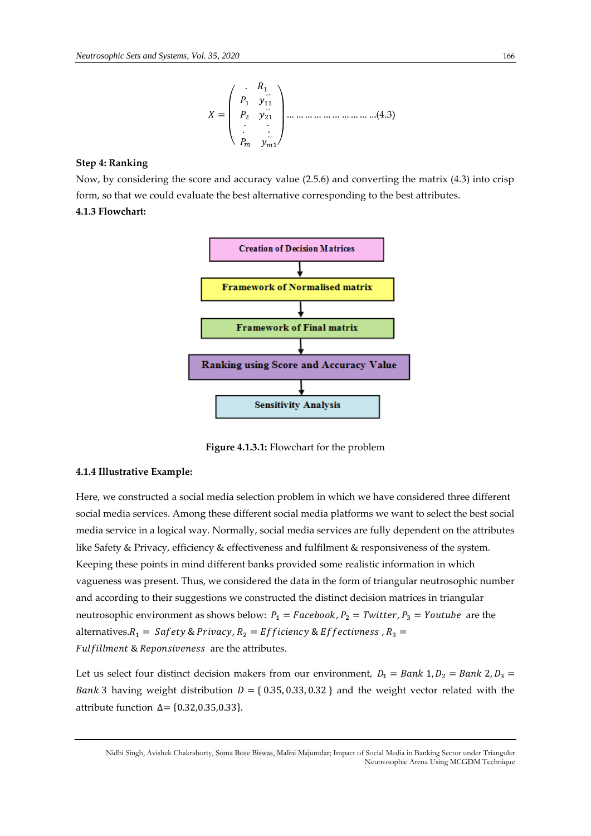$$
X = \begin{pmatrix} R_1 \\ P_1 & y_{11}' \\ P_2 & y_{21}' \\ \vdots & \vdots \\ P_m & y_{m1} \end{pmatrix} \dots \dots \dots \dots \dots \dots \dots \dots \dots \dots \dots (4.3)
$$

#### **Step 4: Ranking**

Now, by considering the score and accuracy value (2.5.6) and converting the matrix (4.3) into crisp form, so that we could evaluate the best alternative corresponding to the best attributes. **4.1.3 Flowchart:**



**Figure 4.1.3.1:** Flowchart for the problem

## **4.1.4 Illustrative Example:**

Here, we constructed a social media selection problem in which we have considered three different social media services. Among these different social media platforms we want to select the best social media service in a logical way. Normally, social media services are fully dependent on the attributes like Safety & Privacy, efficiency & effectiveness and fulfilment & responsiveness of the system. Keeping these points in mind different banks provided some realistic information in which vagueness was present. Thus, we considered the data in the form of triangular neutrosophic number and according to their suggestions we constructed the distinct decision matrices in triangular neutrosophic environment as shows below:  $P_1 = Facebook$ ,  $P_2 = Twitter$ ,  $P_3 = YouTube$  are the alternatives. $R_1 = Safety \& Privacy, R_2 = Efficiency \& Effectivness, R_3 =$ Fulfillment & Reponsiveness are the attributes.

Let us select four distinct decision makers from our environment,  $D_1 = Bank 1, D_2 = Bank 2, D_3 =$ *Bank* 3 having weight distribution  $D = \{0.35, 0.33, 0.32\}$  and the weight vector related with the attribute function  $∆ = {0.32, 0.35, 0.33}.$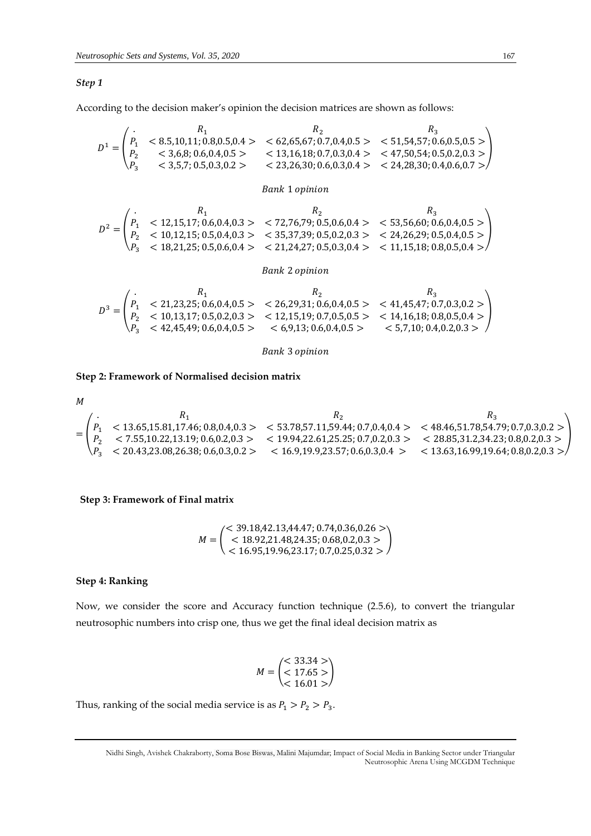#### *Step 1*

According to the decision maker's opinion the decision matrices are shown as follows:

$$
D^{1} = \begin{pmatrix} R_{1} & R_{2} & R_{3} \\ P_{1} < 8.5,10,11; 0.8,0.5,0.4 > < 62,65,67; 0.7,0.4,0.5 > < 51,54,57; 0.6,0.5,0.5 > \\ P_{2} < 3,6,8; 0.6,0.4,0.5 > < 13,16,18; 0.7,0.3,0.4 > < 47,50,54; 0.5,0.2,0.3 > \\ P_{3} < 3,5,7; 0.5,0.3,0.2 > < 23,26,30; 0.6,0.3,0.4 > < 24,28,30; 0.4,0.6,0.7 > \end{pmatrix}
$$
\n
$$
Bank \text{ 1 opinion}
$$
\n
$$
D^{2} = \begin{pmatrix} R_{1} & R_{2} & R_{3} \\ P_{1} < 12,15,17; 0.6,0.4,0.3 > < 72,76,79; 0.5,0.6,0.4 > < 53,56,60; 0.6,0.4,0.5 > \\ P_{2} < 10,13,15,0.5,0.5,0.4,0.3 > < 25,27,20,0.5,0.06,0.4 > < 53,56,60; 0.6,0.4,0.5 > \\ P_{3} < 10,13,15,0.5,0.4,0.3 > < 25,27,20,0.5,0.06,0.4 > < 32,4,26,20,0.5,0.4,0.5 > \\ P_{4} < 10,13,15,0.5,0.4,0.3 > < 25,27,20,0.5,0.4 > < 24,28,30,0.5,0.4,0.5 > \\ P_{5} < 10,13,15,0.5,0.4,0.3 > < 25,27,20,0.5,0.4 > <
$$

# Bank 2 opinion

 $P_2$  < 10,12,15; 0.5,0.4,0.3 > < 35,37,39; 0.5,0.2,0.3 > < 24,26,29; 0.5,0.4,0.5 >  $P_3$  < 18,21,25; 0.5,0.6,0.4 > < 21,24,27; 0.5,0.3,0.4 > < 11,15,18; 0.8,0.5,0.4 >

$$
D^3 = \begin{pmatrix} R_1 & R_2 & R_3 \\ P_1 & < 21,23,25; 0.6,0.4,0.5 > < 26,29,31; 0.6,0.4,0.5 > < 41,45,47; 0.7,0.3,0.2 > \\ P_2 & < 10,13,17; 0.5,0.2,0.3 > < 12,15,19; 0.7,0.5,0.5 > < 14,16,18; 0.8,0.5,0.4 > \\ P_3 & < 42,45,49; 0.6,0.4,0.5 > < 6,9,13; 0.6,0.4,0.5 > < 5,7,10; 0.4,0.2,0.3 > \end{pmatrix}
$$

## **Bank 3 opinion**

## **Step 2: Framework of Normalised decision matrix**

 $M$  $=$ .  $R_1$   $R_2$   $R_3$  $P_1$  < 13.65,15.81,17.46; 0.8,0.4,0.3 > < 53.78,57.11,59.44; 0.7,0.4,0.4 > < 48.46,51.78,54.79; 0.7,0.3,0.2 >  $P_2$  < 7.55,10.22,13.19; 0.6,0.2,0.3 > < 19.94,22.61,25.25; 0.7,0.2,0.3 > < 28.85,31.2,34.23; 0.8,0.2,0.3 >  $P_3$   $\lt$  20.43,23.08,26.38; 0.6,0.3,0.2  $\gt$   $\lt$  16.9,19.9,23.57; 0.6,0.3,0.4  $\gt$   $\lt$  13.63,16.99,19.64; 0.8,0.2,0.3  $\gt$ )

#### **Step 3: Framework of Final matrix**

$$
M = \begin{pmatrix} 59.18, 42.13, 44.47; 0.74, 0.36, 0.26 > \\ 59.18, 42.14, 43.24, 35; 0.68, 0.2, 0.3 > \\ 59.19, 96, 23.17; 0.7, 0.25, 0.32 > \end{pmatrix}
$$

## **Step 4: Ranking**

Now, we consider the score and Accuracy function technique (2.5.6), to convert the triangular neutrosophic numbers into crisp one, thus we get the final ideal decision matrix as

$$
M = \begin{pmatrix} < 33.34 > \\ < 17.65 > \\ < 16.01 > \end{pmatrix}
$$

Thus, ranking of the social media service is as  $P_1 > P_2 > P_3$ .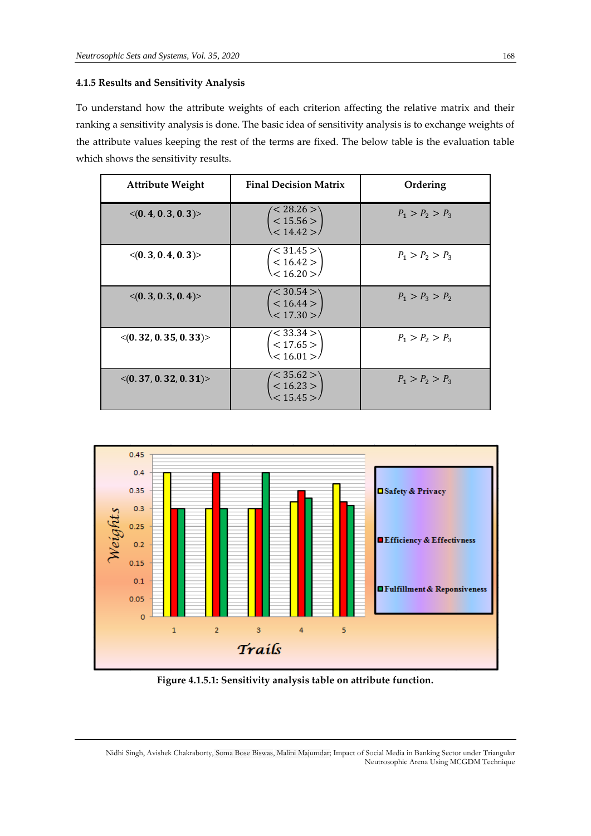## **4.1.5 Results and Sensitivity Analysis**

To understand how the attribute weights of each criterion affecting the relative matrix and their ranking a sensitivity analysis is done. The basic idea of sensitivity analysis is to exchange weights of the attribute values keeping the rest of the terms are fixed. The below table is the evaluation table which shows the sensitivity results.

| <b>Attribute Weight</b>              | <b>Final Decision Matrix</b>                   | Ordering          |
|--------------------------------------|------------------------------------------------|-------------------|
| $\langle (0.4, 0.3, 0.3) \rangle$    | $\leq$ 28.26 $>$<br>$< 15.56 >$<br>$< 14.42 >$ | $P_1 > P_2 > P_3$ |
| $\langle (0.3, 0.4, 0.3) \rangle$    | $\leq 31.45>$<br>$< 16.42 >$<br>$< 16.20 >$    | $P_1 > P_2 > P_3$ |
| $\langle (0.3, 0.3, 0.4) \rangle$    | $\leq 30.54 >$<br>$< 16.44 >$<br>$< 17.30 >$   | $P_1 > P_3 > P_2$ |
| $\langle (0.32, 0.35, 0.33) \rangle$ | $\leq$ 33.34 $>$<br>< 17.65 ><br>< 16.01 >     | $P_1 > P_2 > P_3$ |
| $\langle (0.37, 0.32, 0.31) \rangle$ | $\leq$ 35.62 $>$<br>< 16.23 ><br>$<$ 15.45 $>$ | $P_1 > P_2 > P_3$ |



**Figure 4.1.5.1: Sensitivity analysis table on attribute function.**

Nidhi Singh, Avishek Chakraborty, Soma Bose Biswas, Malini Majumdar; Impact of Social Media in Banking Sector under Triangular Neutrosophic Arena Using MCGDM Technique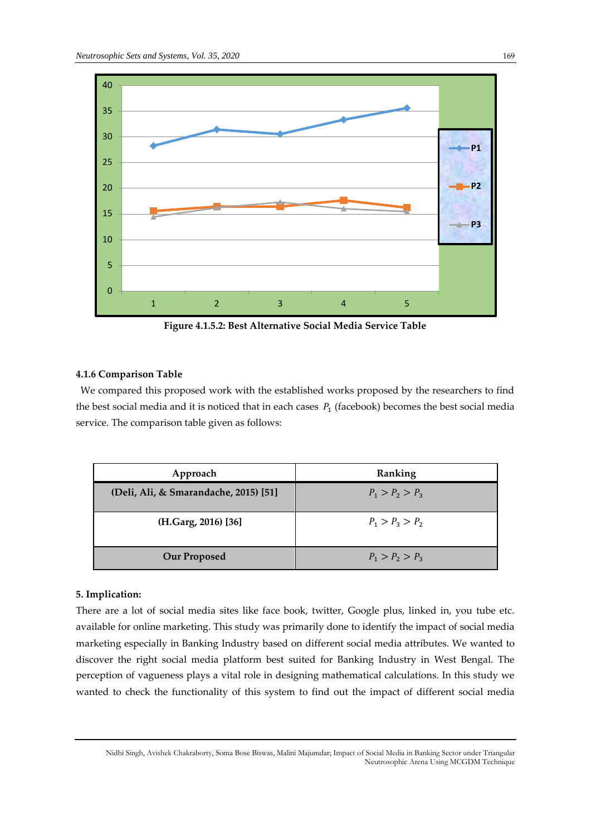

**Figure 4.1.5.2: Best Alternative Social Media Service Table**

# **4.1.6 Comparison Table**

We compared this proposed work with the established works proposed by the researchers to find the best social media and it is noticed that in each cases  $P_1$  (facebook) becomes the best social media service. The comparison table given as follows:

| Approach                              | Ranking           |
|---------------------------------------|-------------------|
| (Deli, Ali, & Smarandache, 2015) [51] | $P_1 > P_2 > P_3$ |
| (H.Garg, 2016) [36]                   | $P_1 > P_3 > P_2$ |
| <b>Our Proposed</b>                   | $P_1 > P_2 > P_3$ |

## **5. Implication:**

There are a lot of social media sites like face book, twitter, Google plus, linked in, you tube etc. available for online marketing. This study was primarily done to identify the impact of social media marketing especially in Banking Industry based on different social media attributes. We wanted to discover the right social media platform best suited for Banking Industry in West Bengal. The perception of vagueness plays a vital role in designing mathematical calculations. In this study we wanted to check the functionality of this system to find out the impact of different social media

Nidhi Singh, Avishek Chakraborty, Soma Bose Biswas, Malini Majumdar; Impact of Social Media in Banking Sector under Triangular Neutrosophic Arena Using MCGDM Technique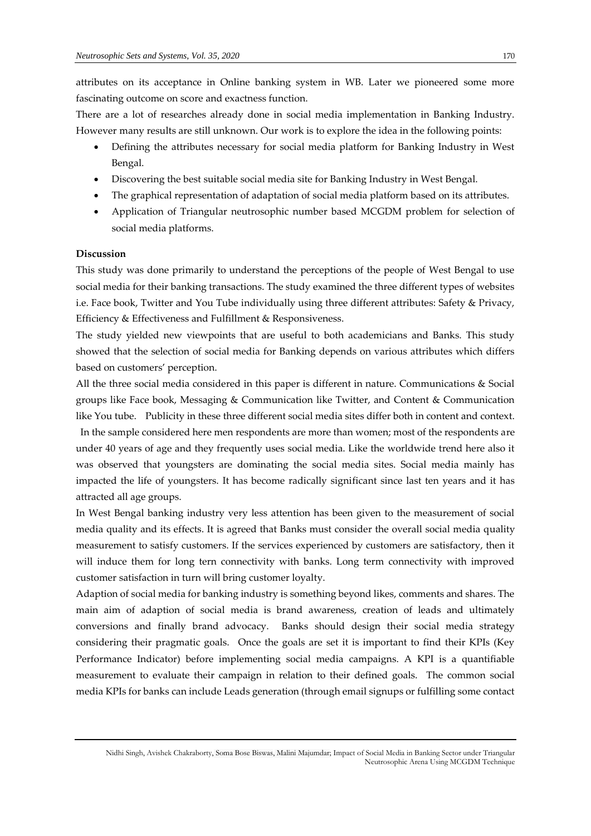attributes on its acceptance in Online banking system in WB. Later we pioneered some more fascinating outcome on score and exactness function.

There are a lot of researches already done in social media implementation in Banking Industry. However many results are still unknown. Our work is to explore the idea in the following points:

- Defining the attributes necessary for social media platform for Banking Industry in West Bengal.
- Discovering the best suitable social media site for Banking Industry in West Bengal.
- The graphical representation of adaptation of social media platform based on its attributes.
- Application of Triangular neutrosophic number based MCGDM problem for selection of social media platforms.

# **Discussion**

This study was done primarily to understand the perceptions of the people of West Bengal to use social media for their banking transactions. The study examined the three different types of websites i.e. Face book, Twitter and You Tube individually using three different attributes: Safety & Privacy, Efficiency & Effectiveness and Fulfillment & Responsiveness.

The study yielded new viewpoints that are useful to both academicians and Banks. This study showed that the selection of social media for Banking depends on various attributes which differs based on customers' perception.

All the three social media considered in this paper is different in nature. Communications & Social groups like Face book, Messaging & Communication like Twitter, and Content & Communication like You tube. Publicity in these three different social media sites differ both in content and context. In the sample considered here men respondents are more than women; most of the respondents are under 40 years of age and they frequently uses social media. Like the worldwide trend here also it was observed that youngsters are dominating the social media sites. Social media mainly has impacted the life of youngsters. It has become radically significant since last ten years and it has attracted all age groups.

In West Bengal banking industry very less attention has been given to the measurement of social media quality and its effects. It is agreed that Banks must consider the overall social media quality measurement to satisfy customers. If the services experienced by customers are satisfactory, then it will induce them for long tern connectivity with banks. Long term connectivity with improved customer satisfaction in turn will bring customer loyalty.

Adaption of social media for banking industry is something beyond likes, comments and shares. The main aim of adaption of social media is brand awareness, creation of leads and ultimately conversions and finally brand advocacy. Banks should design their social media strategy considering their pragmatic goals. Once the goals are set it is important to find their KPIs (Key Performance Indicator) before implementing social media campaigns. A KPI is a quantifiable measurement to evaluate their campaign in relation to their defined goals. The common social media KPIs for banks can include Leads generation (through email signups or fulfilling some contact

Nidhi Singh, Avishek Chakraborty, Soma Bose Biswas, Malini Majumdar; Impact of Social Media in Banking Sector under Triangular Neutrosophic Arena Using MCGDM Technique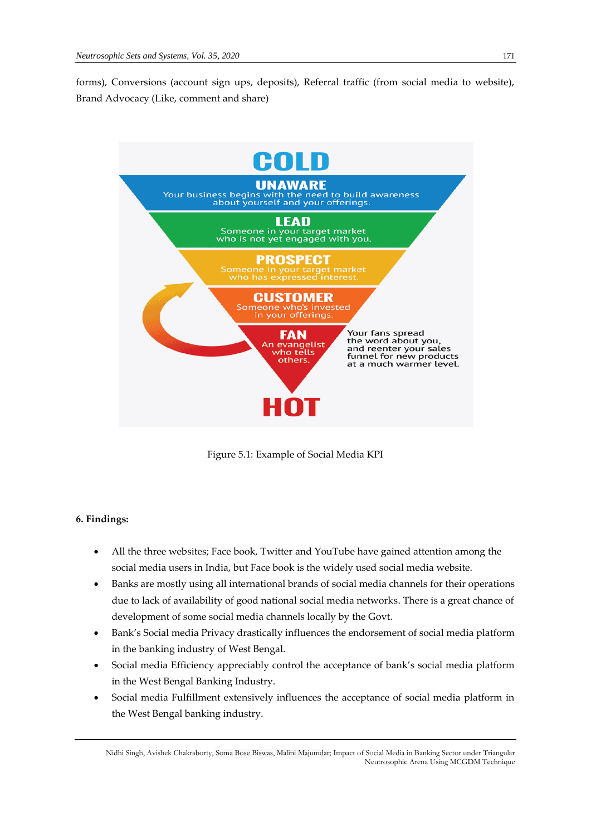forms), Conversions (account sign ups, deposits), Referral traffic (from social media to website), Brand Advocacy (Like, comment and share)



Figure 5.1: Example of Social Media KPI

# **6. Findings:**

- All the three websites; Face book, Twitter and YouTube have gained attention among the social media users in India, but Face book is the widely used social media website.
- Banks are mostly using all international brands of social media channels for their operations due to lack of availability of good national social media networks. There is a great chance of development of some social media channels locally by the Govt.
- Bank's Social media Privacy drastically influences the endorsement of social media platform in the banking industry of West Bengal.
- Social media Efficiency appreciably control the acceptance of bank's social media platform in the West Bengal Banking Industry.
- Social media Fulfillment extensively influences the acceptance of social media platform in the West Bengal banking industry.

Nidhi Singh, Avishek Chakraborty, Soma Bose Biswas, Malini Majumdar; Impact of Social Media in Banking Sector under Triangular Neutrosophic Arena Using MCGDM Technique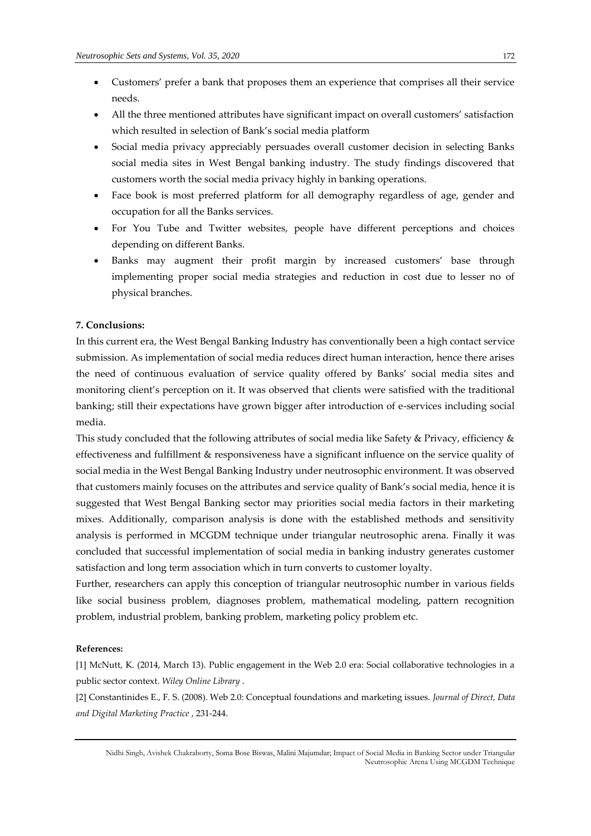- Customers' prefer a bank that proposes them an experience that comprises all their service needs.
- All the three mentioned attributes have significant impact on overall customers' satisfaction which resulted in selection of Bank's social media platform
- Social media privacy appreciably persuades overall customer decision in selecting Banks social media sites in West Bengal banking industry. The study findings discovered that customers worth the social media privacy highly in banking operations.
- Face book is most preferred platform for all demography regardless of age, gender and occupation for all the Banks services.
- For You Tube and Twitter websites, people have different perceptions and choices depending on different Banks.
- Banks may augment their profit margin by increased customers' base through implementing proper social media strategies and reduction in cost due to lesser no of physical branches.

# **7. Conclusions:**

In this current era, the West Bengal Banking Industry has conventionally been a high contact service submission. As implementation of social media reduces direct human interaction, hence there arises the need of continuous evaluation of service quality offered by Banks' social media sites and monitoring client's perception on it. It was observed that clients were satisfied with the traditional banking; still their expectations have grown bigger after introduction of e-services including social media.

This study concluded that the following attributes of social media like Safety & Privacy, efficiency & effectiveness and fulfillment & responsiveness have a significant influence on the service quality of social media in the West Bengal Banking Industry under neutrosophic environment. It was observed that customers mainly focuses on the attributes and service quality of Bank's social media, hence it is suggested that West Bengal Banking sector may priorities social media factors in their marketing mixes. Additionally, comparison analysis is done with the established methods and sensitivity analysis is performed in MCGDM technique under triangular neutrosophic arena. Finally it was concluded that successful implementation of social media in banking industry generates customer satisfaction and long term association which in turn converts to customer loyalty.

Further, researchers can apply this conception of triangular neutrosophic number in various fields like social business problem, diagnoses problem, mathematical modeling, pattern recognition problem, industrial problem, banking problem, marketing policy problem etc.

#### **References:**

[1] McNutt, K. (2014, March 13). Public engagement in the Web 2.0 era: Social collaborative technologies in a public sector context. *Wiley Online Library* .

[2] Constantinides E., F. S. (2008). Web 2.0: Conceptual foundations and marketing issues. *Journal of Direct, Data and Digital Marketing Practice* , 231-244.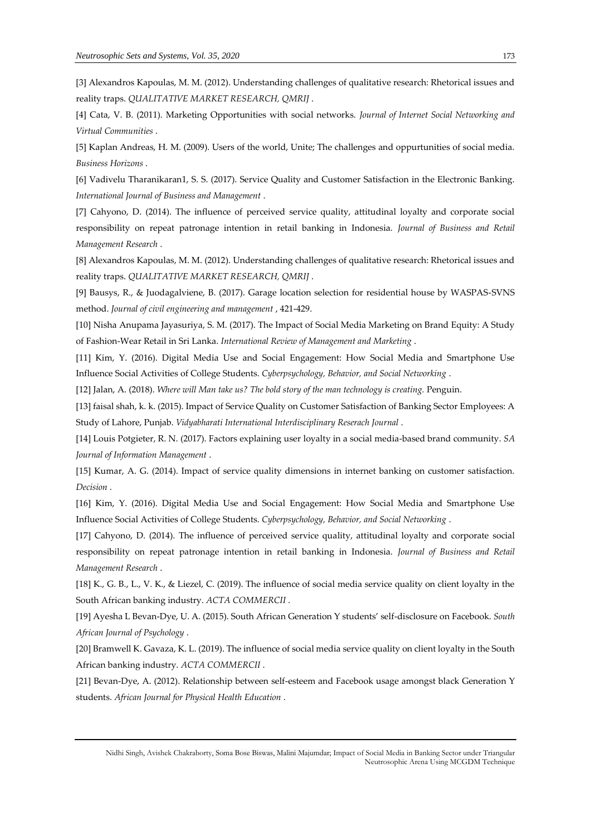[3] Alexandros Kapoulas, M. M. (2012). Understanding challenges of qualitative research: Rhetorical issues and reality traps. *QUALITATIVE MARKET RESEARCH, QMRIJ* .

[4] Cata, V. B. (2011). Marketing Opportunities with social networks. *Journal of Internet Social Networking and Virtual Communities* .

[5] Kaplan Andreas, H. M. (2009). Users of the world, Unite; The challenges and oppurtunities of social media. *Business Horizons* .

[6] Vadivelu Tharanikaran1, S. S. (2017). Service Quality and Customer Satisfaction in the Electronic Banking. *International Journal of Business and Management* .

[7] Cahyono, D. (2014). The influence of perceived service quality, attitudinal loyalty and corporate social responsibility on repeat patronage intention in retail banking in Indonesia. *Journal of Business and Retail Management Research* .

[8] Alexandros Kapoulas, M. M. (2012). Understanding challenges of qualitative research: Rhetorical issues and reality traps. *QUALITATIVE MARKET RESEARCH, QMRIJ* .

[9] Bausys, R., & Juodagalviene, B. (2017). Garage location selection for residential house by WASPAS-SVNS method. *Journal of civil engineering and management* , 421-429.

[10] Nisha Anupama Jayasuriya, S. M. (2017). The Impact of Social Media Marketing on Brand Equity: A Study of Fashion-Wear Retail in Sri Lanka. *International Review of Management and Marketing* .

[11] Kim, Y. (2016). Digital Media Use and Social Engagement: How Social Media and Smartphone Use Influence Social Activities of College Students. *Cyberpsychology, Behavior, and Social Networking* .

[12] Jalan, A. (2018). *Where will Man take us? The bold story of the man technology is creating.* Penguin.

[13] faisal shah, k. k. (2015). Impact of Service Quality on Customer Satisfaction of Banking Sector Employees: A Study of Lahore, Punjab. *Vidyabharati International Interdisciplinary Reserach Journal* .

[14] Louis Potgieter, R. N. (2017). Factors explaining user loyalty in a social media-based brand community. *SA Journal of Information Management* .

[15] Kumar, A. G. (2014). Impact of service quality dimensions in internet banking on customer satisfaction. *Decision* .

[16] Kim, Y. (2016). Digital Media Use and Social Engagement: How Social Media and Smartphone Use Influence Social Activities of College Students. *Cyberpsychology, Behavior, and Social Networking* .

[17] Cahyono, D. (2014). The influence of perceived service quality, attitudinal loyalty and corporate social responsibility on repeat patronage intention in retail banking in Indonesia. *Journal of Business and Retail Management Research* .

[18] K., G. B., L., V. K., & Liezel, C. (2019). The influence of social media service quality on client loyalty in the South African banking industry. *ACTA COMMERCII* .

[19] Ayesha L Bevan-Dye, U. A. (2015). South African Generation Y students' self-disclosure on Facebook. *South African Journal of Psychology* .

[20] Bramwell K. Gavaza, K. L. (2019). The influence of social media service quality on client loyalty in the South African banking industry. *ACTA COMMERCII* .

[21] Bevan-Dye, A. (2012). Relationship between self-esteem and Facebook usage amongst black Generation Y students. *African Journal for Physical Health Education* .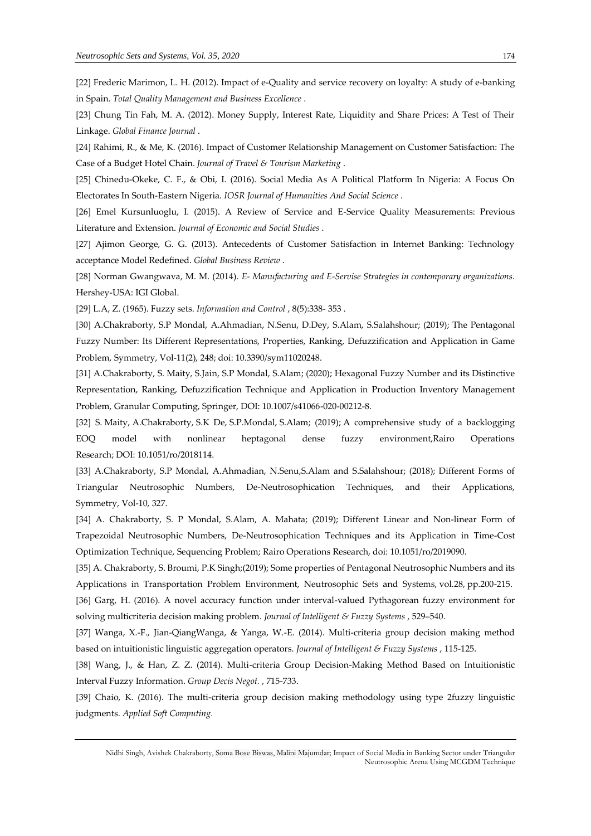[22] Frederic Marimon, L. H. (2012). Impact of e-Quality and service recovery on loyalty: A study of e-banking in Spain. *Total Quality Management and Business Excellence* .

[23] Chung Tin Fah, M. A. (2012). Money Supply, Interest Rate, Liquidity and Share Prices: A Test of Their Linkage. *Global Finance Journal* .

[24] Rahimi, R., & Me, K. (2016). Impact of Customer Relationship Management on Customer Satisfaction: The Case of a Budget Hotel Chain. *Journal of Travel & Tourism Marketing* .

[25] Chinedu-Okeke, C. F., & Obi, I. (2016). Social Media As A Political Platform In Nigeria: A Focus On Electorates In South-Eastern Nigeria. *IOSR Journal of Humanities And Social Science* .

[26] Emel Kursunluoglu, I. (2015). A Review of Service and E-Service Quality Measurements: Previous Literature and Extension. *Journal of Economic and Social Studies* .

[27] Ajimon George, G. G. (2013). Antecedents of Customer Satisfaction in Internet Banking: Technology acceptance Model Redefined. *Global Business Review* .

[28] Norman Gwangwava, M. M. (2014). *E- Manufacturing and E-Servise Strategies in contemporary organizations.* Hershey-USA: IGI Global.

[29] L.A, Z. (1965). Fuzzy sets. *Information and Control* , 8(5):338- 353 .

[30] A.Chakraborty, S.P Mondal, A.Ahmadian, N.Senu, D.Dey, S.Alam, S.Salahshour; (2019); The Pentagonal Fuzzy Number: Its Different Representations, Properties, Ranking, Defuzzification and Application in Game Problem, Symmetry, Vol-11(2), 248; doi: 10.3390/sym11020248.

[31] A.Chakraborty, S. Maity, S.Jain, S.P Mondal, S.Alam; (2020); Hexagonal Fuzzy Number and its Distinctive Representation, Ranking, Defuzzification Technique and Application in Production Inventory Management Problem, Granular Computing, Springer, DOI: 10.1007/s41066-020-00212-8.

[32] S. Maity, A.Chakraborty, S.K De, S.P.Mondal, S.Alam; (2019); A comprehensive study of a backlogging EOQ model with nonlinear heptagonal dense fuzzy environment,Rairo Operations Research; DOI: 10.1051/ro/2018114.

[33] A.Chakraborty, S.P Mondal, A.Ahmadian, N.Senu,S.Alam and S.Salahshour; (2018); Different Forms of Triangular Neutrosophic Numbers, De-Neutrosophication Techniques, and their Applications, Symmetry, Vol-10, 327.

[34] A. Chakraborty, S. P Mondal, S.Alam, A. Mahata; (2019); Different Linear and Non-linear Form of Trapezoidal Neutrosophic Numbers, De-Neutrosophication Techniques and its Application in Time-Cost Optimization Technique, Sequencing Problem; Rairo Operations Research, doi: 10.1051/ro/2019090.

[35] A. Chakraborty, S. Broumi, P.K Singh;(2019); Some properties of Pentagonal Neutrosophic Numbers and its Applications in Transportation Problem Environment, Neutrosophic Sets and Systems, vol.28, pp.200-215.

[36] Garg, H. (2016). A novel accuracy function under interval-valued Pythagorean fuzzy environment for solving multicriteria decision making problem. *Journal of Intelligent & Fuzzy Systems* , 529–540.

[37] Wanga, X.-F., Jian-QiangWanga, & Yanga, W.-E. (2014). Multi-criteria group decision making method based on intuitionistic linguistic aggregation operators. *Journal of Intelligent & Fuzzy Systems* , 115-125.

[38] Wang, J., & Han, Z. Z. (2014). Multi-criteria Group Decision-Making Method Based on Intuitionistic Interval Fuzzy Information. *Group Decis Negot.* , 715-733.

[39] Chaio, K. (2016). The multi-criteria group decision making methodology using type 2fuzzy linguistic judgments. *Applied Soft Computing.*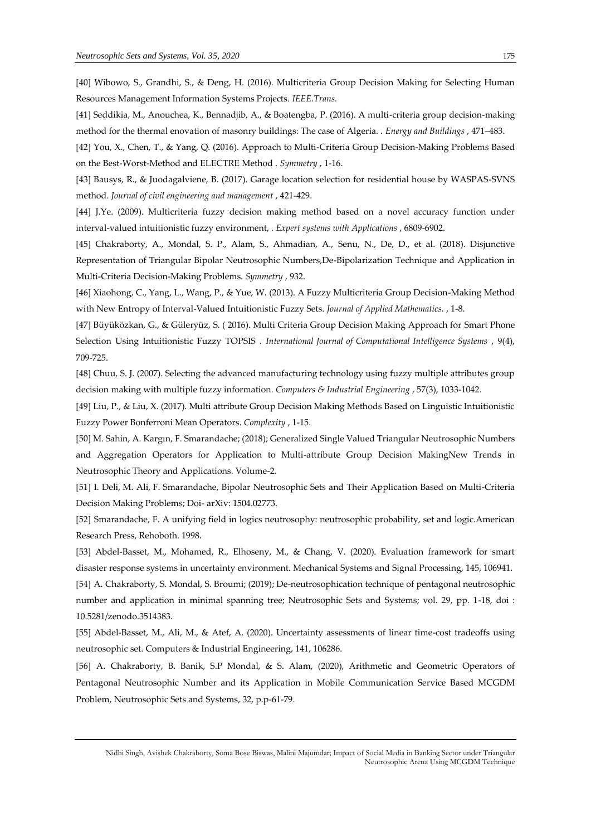[40] Wibowo, S., Grandhi, S., & Deng, H. (2016). Multicriteria Group Decision Making for Selecting Human Resources Management Information Systems Projects. *IEEE.Trans.*

[41] Seddikia, M., Anouchea, K., Bennadjib, A., & Boatengba, P. (2016). A multi-criteria group decision-making method for the thermal enovation of masonry buildings: The case of Algeria. . *Energy and Buildings* , 471–483.

[42] You, X., Chen, T., & Yang, Q. (2016). Approach to Multi-Criteria Group Decision-Making Problems Based on the Best-Worst-Method and ELECTRE Method . *Symmetry* , 1-16.

[43] Bausys, R., & Juodagalviene, B. (2017). Garage location selection for residential house by WASPAS-SVNS method. *Journal of civil engineering and management* , 421-429.

[44] J.Ye. (2009). Multicriteria fuzzy decision making method based on a novel accuracy function under interval-valued intuitionistic fuzzy environment, . *Expert systems with Applications* , 6809-6902.

[45] Chakraborty, A., Mondal, S. P., Alam, S., Ahmadian, A., Senu, N., De, D., et al. (2018). Disjunctive Representation of Triangular Bipolar Neutrosophic Numbers,De-Bipolarization Technique and Application in Multi-Criteria Decision-Making Problems. *Symmetry* , 932.

[46] Xiaohong, C., Yang, L., Wang, P., & Yue, W. (2013). A Fuzzy Multicriteria Group Decision-Making Method with New Entropy of Interval-Valued Intuitionistic Fuzzy Sets. *Journal of Applied Mathematics.* , 1-8.

[47] Büyüközkan, G., & Güleryüz, S. ( 2016). Multi Criteria Group Decision Making Approach for Smart Phone Selection Using Intuitionistic Fuzzy TOPSIS . *International Journal of Computational Intelligence Systems* , 9(4), 709-725.

[48] Chuu, S. J. (2007). Selecting the advanced manufacturing technology using fuzzy multiple attributes group decision making with multiple fuzzy information. *Computers & Industrial Engineering* , 57(3), 1033-1042.

[49] Liu, P., & Liu, X. (2017). Multi attribute Group Decision Making Methods Based on Linguistic Intuitionistic Fuzzy Power Bonferroni Mean Operators. *Complexity* , 1-15.

[50] M. Sahin, A. Kargın, F. Smarandache; (2018); Generalized Single Valued Triangular Neutrosophic Numbers and Aggregation Operators for Application to Multi-attribute Group Decision MakingNew Trends in Neutrosophic Theory and Applications. Volume-2.

[51] [I. Deli,](https://arxiv.org/search/math?searchtype=author&query=Deli%2C+I) [M. Ali,](https://arxiv.org/search/math?searchtype=author&query=Ali%2C+M) [F. Smarandache,](https://arxiv.org/search/math?searchtype=author&query=Smarandache%2C+F) Bipolar Neutrosophic Sets and Their Application Based on Multi-Criteria Decision Making Problems; Doi- arXiv: 1504.02773.

[52] Smarandache, F. A unifying field in logics neutrosophy: neutrosophic probability, set and logic.American Research Press, Rehoboth. 1998.

[53] Abdel-Basset, M., Mohamed, R., Elhoseny, M., & Chang, V. (2020). Evaluation framework for smart disaster response systems in uncertainty environment. Mechanical Systems and Signal Processing, 145, 106941.

[54] A. Chakraborty, S. Mondal, S. Broumi; (2019); De-neutrosophication technique of pentagonal neutrosophic number and application in minimal spanning tree; Neutrosophic Sets and Systems; vol. 29, pp. 1-18, doi : 10.5281/zenodo.3514383.

[55] Abdel-Basset, M., Ali, M., & Atef, A. (2020). Uncertainty assessments of linear time-cost tradeoffs using neutrosophic set. Computers & Industrial Engineering, 141, 106286.

[56] A. Chakraborty, B. Banik, S.P Mondal, & S. Alam, (2020), Arithmetic and Geometric Operators of Pentagonal Neutrosophic Number and its Application in Mobile Communication Service Based MCGDM Problem, Neutrosophic Sets and Systems, 32, p.p-61-79.

Nidhi Singh, Avishek Chakraborty, Soma Bose Biswas, Malini Majumdar; Impact of Social Media in Banking Sector under Triangular Neutrosophic Arena Using MCGDM Technique